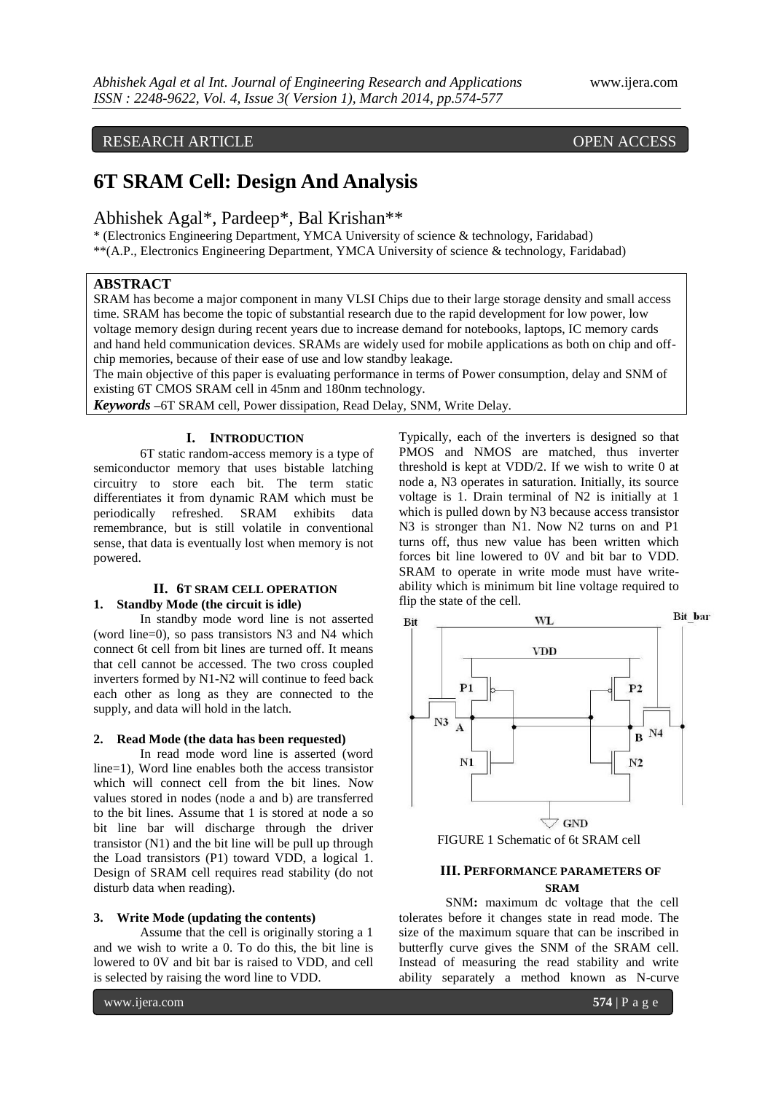# RESEARCH ARTICLE OPEN ACCESS

# **6T SRAM Cell: Design And Analysis**

# Abhishek Agal\*, Pardeep\*, Bal Krishan\*\*

\* (Electronics Engineering Department, YMCA University of science & technology, Faridabad) \*\*(A.P., Electronics Engineering Department, YMCA University of science & technology, Faridabad)

# **ABSTRACT**

SRAM has become a major component in many VLSI Chips due to their large storage density and small access time. SRAM has become the topic of substantial research due to the rapid development for low power, low voltage memory design during recent years due to increase demand for notebooks, laptops, IC memory cards and hand held communication devices. SRAMs are widely used for mobile applications as both on chip and offchip memories, because of their ease of use and low standby leakage.

The main objective of this paper is evaluating performance in terms of Power consumption, delay and SNM of existing 6T CMOS SRAM cell in 45nm and 180nm technology.

*Keywords* **–**6T SRAM cell, Power dissipation, Read Delay, SNM, Write Delay.

## **I. INTRODUCTION**

6T static random-access memory is a type of semiconductor memory that uses bistable latching circuitry to store each bit. The term static differentiates it from dynamic RAM which must be periodically refreshed. SRAM exhibits data remembrance, but is still volatile in conventional sense, that data is eventually lost when memory is not powered.

# **II. 6T SRAM CELL OPERATION**

# **1. Standby Mode (the circuit is idle)**

In standby mode word line is not asserted (word line=0), so pass transistors N3 and N4 which connect 6t cell from bit lines are turned off. It means that cell cannot be accessed. The two cross coupled inverters formed by N1-N2 will continue to feed back each other as long as they are connected to the supply, and data will hold in the latch.

#### **2. Read Mode (the data has been requested)**

In read mode word line is asserted (word line=1), Word line enables both the access transistor which will connect cell from the bit lines. Now values stored in nodes (node a and b) are transferred to the bit lines. Assume that 1 is stored at node a so bit line bar will discharge through the driver transistor (N1) and the bit line will be pull up through the Load transistors (P1) toward VDD, a logical 1. Design of SRAM cell requires read stability (do not disturb data when reading).

### **3. Write Mode (updating the contents)**

Assume that the cell is originally storing a 1 and we wish to write a 0. To do this, the bit line is lowered to 0V and bit bar is raised to VDD, and cell is selected by raising the word line to VDD.

Typically, each of the inverters is designed so that PMOS and NMOS are matched, thus inverter threshold is kept at VDD/2. If we wish to write 0 at node a, N3 operates in saturation. Initially, its source voltage is 1. Drain terminal of N2 is initially at 1 which is pulled down by N3 because access transistor N3 is stronger than N1. Now N2 turns on and P1 turns off, thus new value has been written which forces bit line lowered to 0V and bit bar to VDD. SRAM to operate in write mode must have writeability which is minimum bit line voltage required to flip the state of the cell.



FIGURE 1 Schematic of 6t SRAM cell

# **III. PERFORMANCE PARAMETERS OF SRAM**

SNM**:** maximum dc voltage that the cell tolerates before it changes state in read mode. The size of the maximum square that can be inscribed in butterfly curve gives the SNM of the SRAM cell. Instead of measuring the read stability and write ability separately a method known as N-curve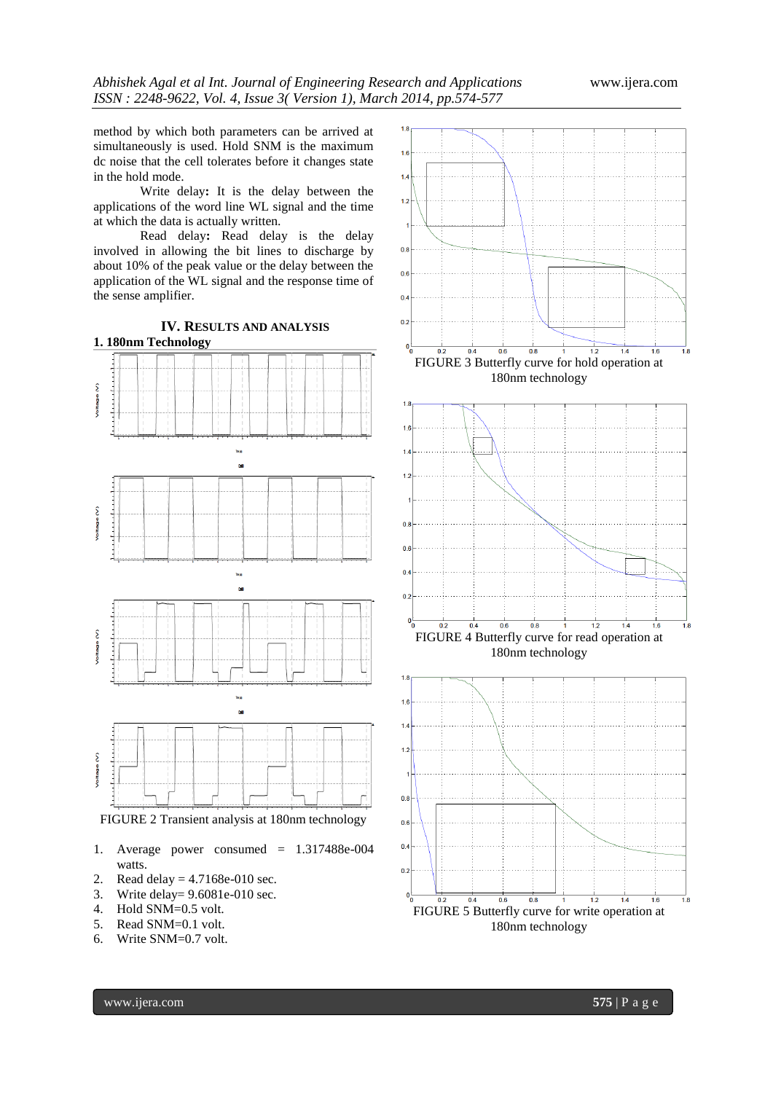method by which both parameters can be arrived at simultaneously is used. Hold SNM is the maximum dc noise that the cell tolerates before it changes state in the hold mode.

Write delay**:** It is the delay between the applications of the word line WL signal and the time at which the data is actually written.

Read delay**:** Read delay is the delay involved in allowing the bit lines to discharge by about 10% of the peak value or the delay between the application of the WL signal and the response time of the sense amplifier.



- 1. Average power consumed = 1.317488e-004 watts.
- 2. Read delay = 4.7168e-010 sec.
- 3. Write delay= 9.6081e-010 sec.
- 4. Hold SNM=0.5 volt.
- 5. Read SNM=0.1 volt.
- 6. Write SNM=0.7 volt.

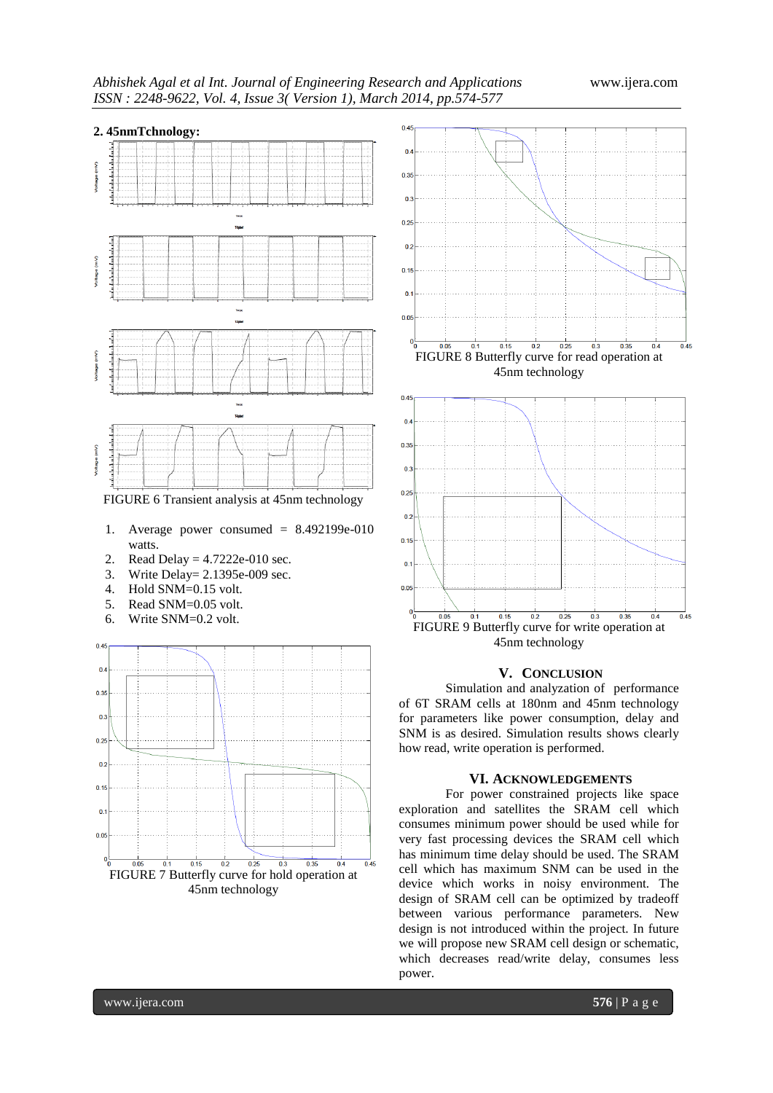

FIGURE 6 Transient analysis at 45nm technology

- 1. Average power consumed = 8.492199e-010 watts.
- 2. Read Delay = 4.7222e-010 sec.
- 3. Write Delay = 2.1395e-009 sec.<br>4. Hold SNM=0.15 volt.
- Hold SNM=0.15 volt.
- 5. Read SNM=0.05 volt.
- 6. Write SNM=0.2 volt.





## **V. CONCLUSION**

Simulation and analyzation of performance of 6T SRAM cells at 180nm and 45nm technology for parameters like power consumption, delay and SNM is as desired. Simulation results shows clearly how read, write operation is performed.

## **VI. ACKNOWLEDGEMENTS**

For power constrained projects like space exploration and satellites the SRAM cell which consumes minimum power should be used while for very fast processing devices the SRAM cell which has minimum time delay should be used. The SRAM cell which has maximum SNM can be used in the device which works in noisy environment. The design of SRAM cell can be optimized by tradeoff between various performance parameters. New design is not introduced within the project. In future we will propose new SRAM cell design or schematic, which decreases read/write delay, consumes less power.